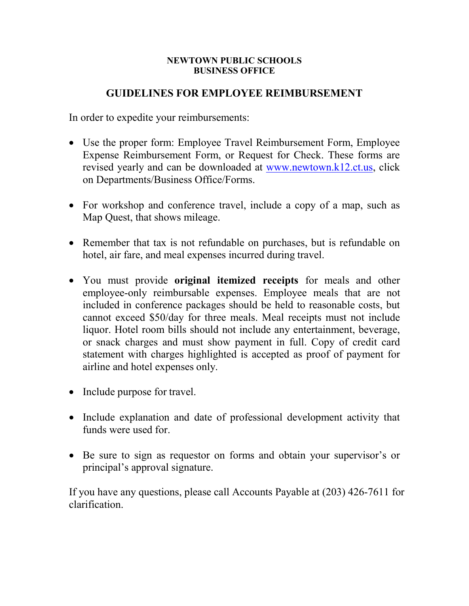## **NEWTOWN PUBLIC SCHOOLS BUSINESS OFFICE**

## **GUIDELINES FOR EMPLOYEE REIMBURSEMENT**

In order to expedite your reimbursements:

- Use the proper form: Employee Travel Reimbursement Form, Employee Expense Reimbursement Form, or Request for Check. These forms are revised yearly and can be downloaded at [www.newtown.k12.ct.us,](http://www.newtown.k12.ct.us/) click on Departments/Business Office/Forms.
- For workshop and conference travel, include a copy of a map, such as Map Quest, that shows mileage.
- Remember that tax is not refundable on purchases, but is refundable on hotel, air fare, and meal expenses incurred during travel.
- You must provide **original itemized receipts** for meals and other employee-only reimbursable expenses. Employee meals that are not included in conference packages should be held to reasonable costs, but cannot exceed \$50/day for three meals. Meal receipts must not include liquor. Hotel room bills should not include any entertainment, beverage, or snack charges and must show payment in full. Copy of credit card statement with charges highlighted is accepted as proof of payment for airline and hotel expenses only.
- Include purpose for travel.
- Include explanation and date of professional development activity that funds were used for.
- Be sure to sign as requestor on forms and obtain your supervisor's or principal's approval signature.

If you have any questions, please call Accounts Payable at (203) 426-7611 for clarification.